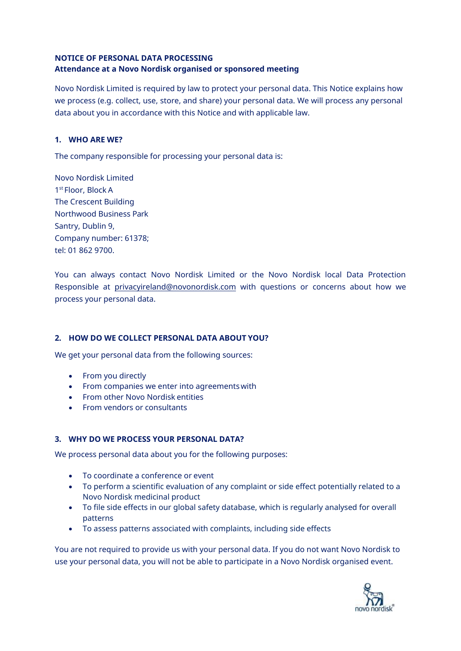## **NOTICE OF PERSONAL DATA PROCESSING Attendance at a Novo Nordisk organised or sponsored meeting**

Novo Nordisk Limited is required by law to protect your personal data. This Notice explains how we process (e.g. collect, use, store, and share) your personal data. We will process any personal data about you in accordance with this Notice and with applicable law.

## **1. WHO ARE WE?**

The company responsible for processing your personal data is:

Novo Nordisk Limited 1 st Floor, Block A The Crescent Building Northwood Business Park Santry, Dublin 9, Company number: 61378; tel: 01 862 9700.

You can always contact Novo Nordisk Limited or the Novo Nordisk local Data Protection Responsible at [privacyireland@novonordisk.com](mailto:privacyireland@novonordisk.com) with questions or concerns about how we process your personal data.

### **2. HOW DO WE COLLECT PERSONAL DATA ABOUT YOU?**

We get your personal data from the following sources:

- From you directly
- From companies we enter into agreementswith
- From other Novo Nordisk entities
- From vendors or consultants

### **3. WHY DO WE PROCESS YOUR PERSONAL DATA?**

We process personal data about you for the following purposes:

- To coordinate a conference or event
- To perform a scientific evaluation of any complaint or side effect potentially related to a Novo Nordisk medicinal product
- To file side effects in our global safety database, which is regularly analysed for overall patterns
- To assess patterns associated with complaints, including side effects

You are not required to provide us with your personal data. If you do not want Novo Nordisk to use your personal data, you will not be able to participate in a Novo Nordisk organised event.

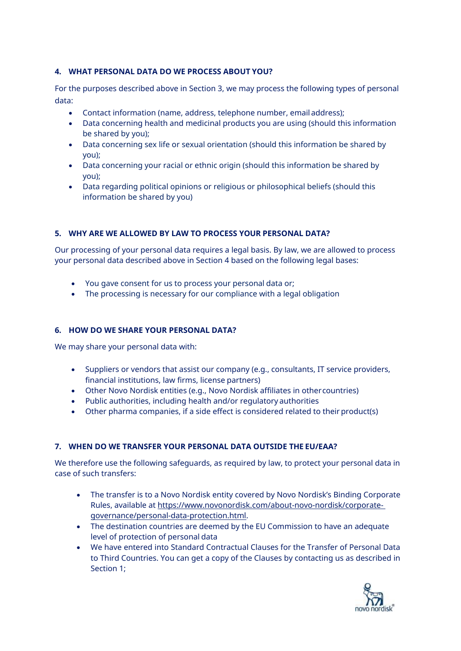## **4. WHAT PERSONAL DATA DO WE PROCESS ABOUT YOU?**

For the purposes described above in Section 3, we may process the following types of personal data:

- Contact information (name, address, telephone number, email address);
- Data concerning health and medicinal products you are using (should this information be shared by you);
- Data concerning sex life or sexual orientation (should this information be shared by you);
- Data concerning your racial or ethnic origin (should this information be shared by you);
- Data regarding political opinions or religious or philosophical beliefs (should this information be shared by you)

### **5. WHY ARE WE ALLOWED BY LAW TO PROCESS YOUR PERSONAL DATA?**

Our processing of your personal data requires a legal basis. By law, we are allowed to process your personal data described above in Section 4 based on the following legal bases:

- You gave consent for us to process your personal data or;
- The processing is necessary for our compliance with a legal obligation

### **6. HOW DO WE SHARE YOUR PERSONAL DATA?**

We may share your personal data with:

- Suppliers or vendors that assist our company (e.g., consultants, IT service providers, financial institutions, law firms, license partners)
- Other Novo Nordisk entities (e.g., Novo Nordisk affiliates in othercountries)
- Public authorities, including health and/or regulatory authorities
- Other pharma companies, if a side effect is considered related to their product(s)

# **7. WHEN DO WE TRANSFER YOUR PERSONAL DATA OUTSIDE THE EU/EAA?**

We therefore use the following safeguards, as required by law, to protect your personal data in case of such transfers:

- The transfer is to a Novo Nordisk entity covered by Novo Nordisk's Binding Corporate Rules, available a[t https://www.novonordisk.com/about-novo-nordisk/corporate](https://www.novonordisk.com/about-novo-nordisk/corporate-governance/personal-data-protection.html)[governance/personal-data-protection.html.](https://www.novonordisk.com/about-novo-nordisk/corporate-governance/personal-data-protection.html)
- The destination countries are deemed by the EU Commission to have an adequate level of protection of personal data
- We have entered into Standard Contractual Clauses for the Transfer of Personal Data to Third Countries. You can get a copy of the Clauses by contacting us as described in Section 1;